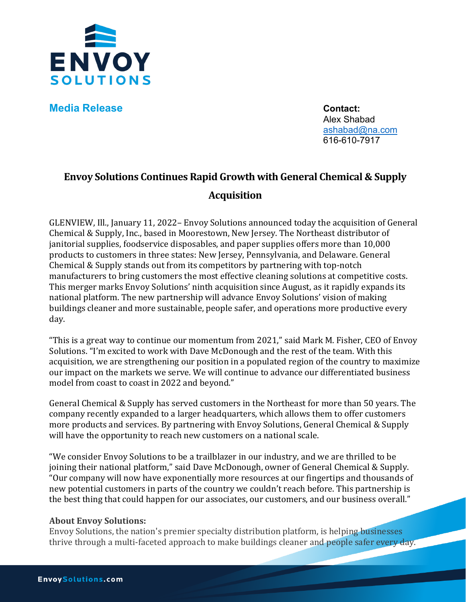

**Media Release Contact:** 

Alex Shabad [ashabad@na.com](mailto:ashabad@na.com) 616-610-7917

## **Envoy Solutions Continues Rapid Growth with General Chemical & Supply Acquisition**

GLENVIEW, Ill., January 11, 2022– Envoy Solutions announced today the acquisition of General Chemical & Supply, Inc., based in Moorestown, New Jersey. The Northeast distributor of janitorial supplies, foodservice disposables, and paper supplies offers more than 10,000 products to customers in three states: New Jersey, Pennsylvania, and Delaware. General Chemical & Supply stands out from its competitors by partnering with top-notch manufacturers to bring customers the most effective cleaning solutions at competitive costs. This merger marks Envoy Solutions' ninth acquisition since August, as it rapidly expands its national platform. The new partnership will advance Envoy Solutions' vision of making buildings cleaner and more sustainable, people safer, and operations more productive every day.

"This is a great way to continue our momentum from 2021," said Mark M. Fisher, CEO of Envoy Solutions. "I'm excited to work with Dave McDonough and the rest of the team. With this acquisition, we are strengthening our position in a populated region of the country to maximize our impact on the markets we serve. We will continue to advance our differentiated business model from coast to coast in 2022 and beyond."

General Chemical & Supply has served customers in the Northeast for more than 50 years. The company recently expanded to a larger headquarters, which allows them to offer customers more products and services. By partnering with Envoy Solutions, General Chemical & Supply will have the opportunity to reach new customers on a national scale.

"We consider Envoy Solutions to be a trailblazer in our industry, and we are thrilled to be joining their national platform," said Dave McDonough, owner of General Chemical & Supply. "Our company will now have exponentially more resources at our fingertips and thousands of new potential customers in parts of the country we couldn't reach before. This partnership is the best thing that could happen for our associates, our customers, and our business overall."

## **About Envoy Solutions:**

Envoy Solutions, the nation's premier specialty distribution platform, is helping businesses thrive through a multi-faceted approach to make buildings cleaner and people safer every day.